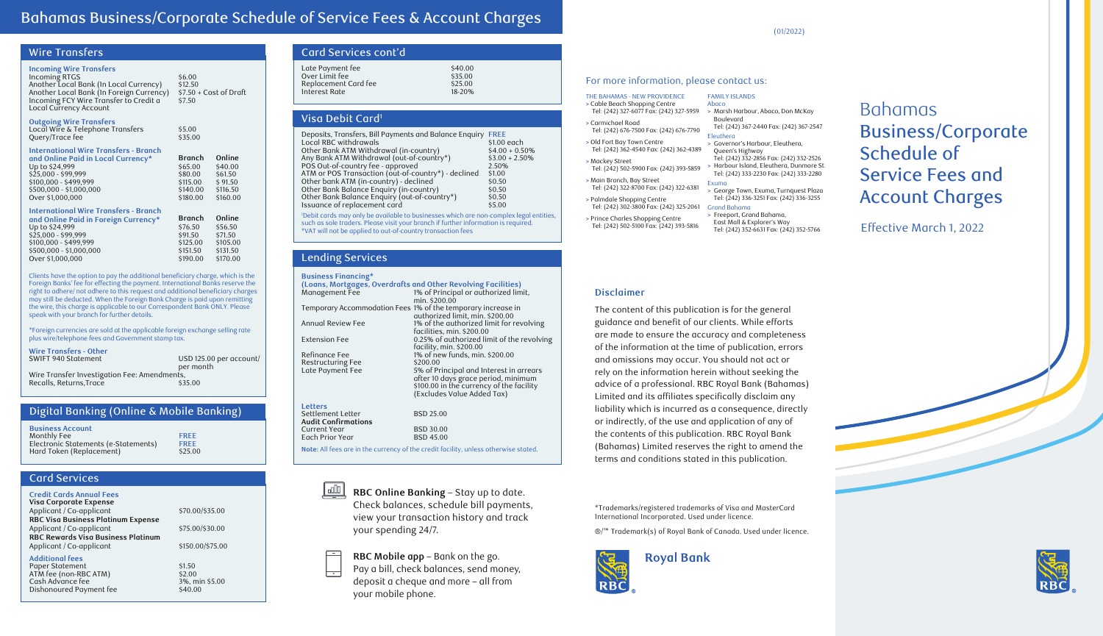## Bahamas Business/Corporate Schedule of Service Fees & Account Charges

## Wire Transfers

#### **Incoming Wire Transfers**

Incoming RTGS \$6.00<br>Another Local Bank (In Local Currency) \$12.50 Another Local Bank (In Local Currency) \$12.50 Another Local Bank (In Foreign Currency) \$7.50 + Cost of Draft<br>Incoming FCY Wire Transfer to Credit a \$7.50 Incoming FCY Wire Transfer to Credit a Local Currency Account

**Outgoing Wire Transfers**

| <b>International Wire Transfers - Branch</b><br>and Online Paid in Local Currency* | <b>Branch</b>     | Online |
|------------------------------------------------------------------------------------|-------------------|--------|
| Local Wire & Telephone Transfers<br>Query/Trace fee                                | \$5.00<br>\$35.00 |        |

| \$61.50  |
|----------|
| \$91.50  |
| \$116.50 |
| \$160.00 |
|          |

| International Wire Transfers - Branch |  |
|---------------------------------------|--|
|                                       |  |

| and Online Paid in Foreign Currency* | <b>Branch</b> | Online   |
|--------------------------------------|---------------|----------|
| Up to \$24,999                       | \$76.50       | \$56.50  |
| $$25,000 - $99,999$                  | \$91.50       | \$71.50  |
| \$100,000 - \$499,999                | \$125.00      | \$105.00 |
| \$500,000 - \$1,000,000              | \$151.50      | \$131.50 |
| Over \$1,000,000                     | \$190.00      | \$170.00 |

Clients have the option to pay the additional beneficiary charge, which is the Foreign Banks' fee for effecting the payment. International Banks reserve the right to adhere/ not adhere to this request and additional beneficiary charges may still be deducted. When the Foreign Bank Charge is paid upon remitting the wire, this charge is applicable to our Correspondent Bank ONLY. Please speak with your branch for further details.

\*Foreign currencies are sold at the applicable foreign exchange selling rate plus wire/telephone fees and Government stamp tax.

**Wire Transfers - Other**

USD 125.00 per account/ per month Wire Transfer Investigation Fee: Amendments, Recalls, Returns, Trace  $$35.00$ 

## Digital Banking (Online & Mobile Banking)

| <b>Business Account</b>              |             |
|--------------------------------------|-------------|
| Monthly Fee                          | <b>FRFF</b> |
| Electronic Statements (e-Statements) | <b>FREE</b> |
| Hard Token (Replacement)             | \$25.00     |

## Card Services

| <b>Credit Cards Annual Fees</b> |  |
|---------------------------------|--|
| Visa Corporate Expense          |  |

Applicant / Co-applicant  $$70$ . **RBC Visa Business Platinum Expense** Applicant / Co-applicant  $$75$ **RBC Rewards Visa Business Platinum** Applicant / Co-applicant  $$15$ 

## **Additional fees**

Paper Statement \$1.50<br>ATM fee (non-RBC ATM) \$2.00 ATM fee (non-RBC ATM) \$2.00 Cash Advance fee 3%, min \$3%, min \$3.000 States 3.000 States 3.000 States 3.000 States 3.000 States 3.000 States 3.000 States 3.000 States 3.000 States 3.000 States 3.000 States 3.000 States 3.000 States 3.000 States 3.000 Dishonoured Payment fee

| 0.00/\$35.00  |  |
|---------------|--|
| 5.00/\$30.00  |  |
| 50.00/\$75.00 |  |
|               |  |

| Card Services cont'd                                                        |                                         |
|-----------------------------------------------------------------------------|-----------------------------------------|
| Late Payment fee<br>Over Limit fee<br>Replacement Card fee<br>Interest Rate | \$40.00<br>\$35.00<br>\$25.00<br>18-20% |

#### Visa Debit Card1

| Deposits, Transfers, Bill Payments and Balance Enguiry | <b>FREE</b>      |
|--------------------------------------------------------|------------------|
| Local RBC withdrawals                                  | \$1.00 each      |
| Other Bank ATM Withdrawal (in-country)                 | $$4.00 + 0.50\%$ |
| Any Bank ATM Withdrawal (out-of-country*)              | $$3.00 + 2.50\%$ |
| POS Out-of-country fee - approved                      | 2.50%            |
| ATM or POS Transaction (out-of-country*) - declined    | \$1.00           |
| Other bank ATM (in-country) - declined                 | \$0.50           |
| Other Bank Balance Enquiry (in-country)                | \$0.50           |
| Other Bank Balance Enquiry (out-of-country*)           | \$0.50           |
| Issuance of replacement card                           | \$5.00           |

1 Debit cards may only be available to businesses which are non-complex legal entities, such as sole traders. Please visit your branch if further information is required. \*VAT will not be applied to out-of-country transaction fees

## Lending Services

| <b>Business Financing*</b>                                   |                                                               |
|--------------------------------------------------------------|---------------------------------------------------------------|
|                                                              | (Loans, Mortgages, Overdrafts and Other Revolving Facilities) |
| Management Fee                                               | 1% of Principal or authorized limit,                          |
|                                                              | min. \$200.00                                                 |
| Temporary Accommodation Fees 1% of the temporary increase in |                                                               |
|                                                              | authorized limit, min. \$200.00                               |
| Annual Review Fee                                            | 1% of the authorized limit for revolving                      |
|                                                              | facilities, min. \$200.00                                     |
| <b>Extension Fee</b>                                         | 0.25% of authorized limit of the revolving                    |
|                                                              | facility, min. \$200.00                                       |
| Refinance Fee                                                | 1% of new funds, min. \$200.00                                |
| <b>Restructuring Fee</b>                                     | \$200.00                                                      |
| Late Payment Fee                                             | 5% of Principal and Interest in arrears                       |
|                                                              | after 10 days grace period, minimum                           |
|                                                              | \$100.00 in the currency of the facility                      |
|                                                              | (Excludes Value Added Tax)                                    |
| Letters                                                      |                                                               |
| Settlement Letter                                            | <b>BSD 25.00</b>                                              |
| <b>Audit Confirmations</b>                                   |                                                               |
| Current Year                                                 | <b>BSD 30.00</b>                                              |
| Each Prior Year                                              | <b>BSD 45.00</b>                                              |

**Note:** All fees are in the currency of the credit facility, unless otherwise stated.

<u>| uli |</u> **RBC Online Banking** – Stay up to date. Check balances, schedule bill payments, view your transaction history and track your spending 24/7.

**RBC Mobile app** – Bank on the go. Pay a bill, check balances, send money, deposit a cheque and more – all from your mobile phone.

(01/2022)

#### For more information, please contact us:

| THE BAHAMAS - NEW PROVIDENCE                                                | <b>FAMILY</b>                       |
|-----------------------------------------------------------------------------|-------------------------------------|
| > Cable Beach Shopping Centre                                               | Abaco                               |
| Tel: (242) 327-6077 Fax: (242) 327-5959                                     | > Mars                              |
| > Carmichael Road<br>Tel: (242) 676-7500 Fax: (242) 676-7790                | Boule<br>Tel: $(2)$<br>Eleuthe      |
| > Old Fort Bay Town Centre                                                  | > Gove                              |
| Tel: (242) 362-4540 Fax: (242) 362-4389                                     | Quee                                |
| > Mackey Street<br>Tel: (242) 502-5900 Fax: (242) 393-5859                  | Tel: (2<br>> Harb<br>Tel: $(2)$     |
| > Main Branch, Bay Street                                                   | Exuma                               |
| Tel: (242) 322-8700 Fax: (242) 322-6381                                     | > Geor                              |
| > Palmdale Shopping Centre                                                  | Tel: $(2)$                          |
| Tel: (242) 302-3800 Fax: (242) 325-2061                                     | <b>Grand E</b>                      |
| > Prince Charles Shopping Centre<br>Tel: (242) 502-5100 Fax: (242) 393-5816 | > Freep<br>East i<br>$T_0$ . $\ell$ |

**ISLANDS >** Marsh Harbour, Abaco, Don McKay Boulevard (242) 367-2440 Fax: (242) 367-2547 Eleuthera **>** Governor's Harbour, Eleuthera, n's Highway Tel: (242) 332-2856 Fax: (242) 332-2526 **bour Island, Eleuthera, Dunmore St.** (242) 333-2230 Fax: (242) 333-2280 **>** George Town, Exuma, Turnquest Plaza Tel: (242) 336-3251 Fax: (242) 336-3255

Grand Bahama **>** Freeport, Grand Bahama,

Mall & Explorer's Way Tel: (242) 352-6631 Fax: (242) 352-5766

## Bahamas Business/Corporate Schedule of Service Fees and Account Charges

Effective March 1, 2022

#### **Disclaimer**

The content of this publication is for the general guidance and benefit of our clients. While efforts are made to ensure the accuracy and completeness of the information at the time of publication, errors and omissions may occur. You should not act or rely on the information herein without seeking the advice of a professional. RBC Royal Bank (Bahamas) Limited and its affiliates specifically disclaim any liability which is incurred as a consequence, directly or indirectly, of the use and application of any of the contents of this publication. RBC Royal Bank (Bahamas) Limited reserves the right to amend the terms and conditions stated in this publication.

\*Trademarks/registered trademarks of Visa and MasterCard International Incorporated. Used under licence.

®/™ Trademark(s) of Royal Bank of Canada. Used under licence.